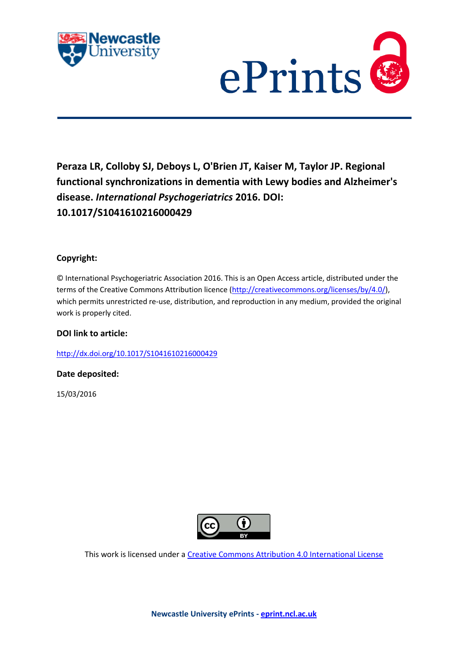



# **Peraza LR, Colloby SJ, Deboys L, O'Brien JT, Kaiser M, Taylor JP. Regional functional synchronizations in dementia with Lewy bodies and Alzheimer's disease.** *International Psychogeriatrics* **2016. DOI: 10.1017/S1041610216000429**

## **Copyright:**

© International Psychogeriatric Association 2016. This is an Open Access article, distributed under the terms of the Creative Commons Attribution licence [\(http://creativecommons.org/licenses/by/4.0/\)](http://creativecommons.org/licenses/by/4.0/), which permits unrestricted re-use, distribution, and reproduction in any medium, provided the original work is properly cited.

## **DOI link to article:**

<http://dx.doi.org/10.1017/S1041610216000429>

## **Date deposited:**

15/03/2016



This work is licensed under [a Creative Commons Attribution 4.0 International License](http://creativecommons.org/licenses/by/4.0/)

**Newcastle University ePrints - [eprint.ncl.ac.uk](http://eprint.ncl.ac.uk/)**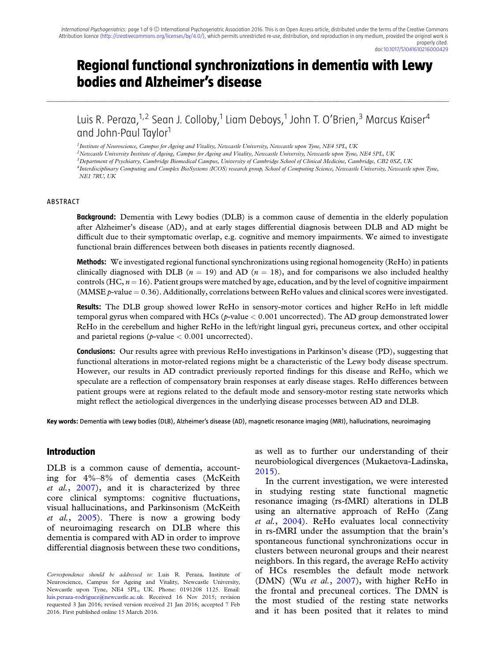# **Regional functional synchronizations in dementia with Lewy bodies and Alzheimer's disease**

Luis R. Peraza,<sup>1,2</sup> Sean J. Colloby,<sup>1</sup> Liam Deboys,<sup>1</sup> John T. O'Brien,<sup>3</sup> Marcus Kaiser<sup>4</sup> and John-Paul Taylor<sup>1</sup>

...........................................................................................................................................................................................................................................................................................................................................................................................................................................................................................................................................................................................................................................

*1Institute of Neuroscience, Campus for Ageing and Vitality, Newcastle University, Newcastle upon Tyne, NE4 5PL, UK*

*2Newcastle University Institute of Ageing, Campus for Ageing and Vitality, Newcastle University, Newcastle upon Tyne, NE4 5PL, UK*

*3Department of Psychiatry, Cambridge Biomedical Campus, University of Cambridge School of Clinical Medicine, Cambridge, CB2 0SZ, UK*

*4Interdisciplinary Computing and Complex BioSystems (ICOS) research group, School of Computing Science, Newcastle University, Newcastle upon Tyne, NE1 7RU, UK*

#### ABSTRACT

**Background:** Dementia with Lewy bodies (DLB) is a common cause of dementia in the elderly population after Alzheimer's disease (AD), and at early stages differential diagnosis between DLB and AD might be difficult due to their symptomatic overlap, e.g. cognitive and memory impairments. We aimed to investigate functional brain differences between both diseases in patients recently diagnosed.

**Methods:** We investigated regional functional synchronizations using regional homogeneity (ReHo) in patients clinically diagnosed with DLB ( $n = 19$ ) and AD ( $n = 18$ ), and for comparisons we also included healthy controls  $(HC, n = 16)$ . Patient groups were matched by age, education, and by the level of cognitive impairment (MMSE  $p$ -value  $= 0.36$ ). Additionally, correlations between ReHo values and clinical scores were investigated.

**Results:** The DLB group showed lower ReHo in sensory-motor cortices and higher ReHo in left middle temporal gyrus when compared with HCs (*p*-value < 0.001 uncorrected). The AD group demonstrated lower ReHo in the cerebellum and higher ReHo in the left/right lingual gyri, precuneus cortex, and other occipital and parietal regions (*p*-value < 0.001 uncorrected).

**Conclusions:** Our results agree with previous ReHo investigations in Parkinson's disease (PD), suggesting that functional alterations in motor-related regions might be a characteristic of the Lewy body disease spectrum. However, our results in AD contradict previously reported findings for this disease and ReHo, which we speculate are a reflection of compensatory brain responses at early disease stages. ReHo differences between patient groups were at regions related to the default mode and sensory-motor resting state networks which might reflect the aetiological divergences in the underlying disease processes between AD and DLB.

**Key words:** Dementia with Lewy bodies (DLB), Alzheimer's disease (AD), magnetic resonance imaging (MRI), hallucinations, neuroimaging

#### **Introduction**

DLB is a common cause of dementia, accounting for 4%–8% of dementia cases (McKeith *et al.*, [2007\)](#page-8-0), and it is characterized by three core clinical symptoms: cognitive fluctuations, visual hallucinations, and Parkinsonism (McKeith *et al.*, [2005\)](#page-8-0). There is now a growing body of neuroimaging research on DLB where this dementia is compared with AD in order to improve differential diagnosis between these two conditions,

as well as to further our understanding of their neurobiological divergences (Mukaetova-Ladinska, [2015\)](#page-8-0).

In the current investigation, we were interested in studying resting state functional magnetic resonance imaging (rs-fMRI) alterations in DLB using an alternative approach of ReHo (Zang *et al.*, [2004\)](#page-9-0). ReHo evaluates local connectivity in rs-fMRI under the assumption that the brain's spontaneous functional synchronizations occur in clusters between neuronal groups and their nearest neighbors. In this regard, the average ReHo activity of HCs resembles the default mode network (DMN) (Wu *et al.*, [2007\)](#page-9-0), with higher ReHo in the frontal and precuneal cortices. The DMN is the most studied of the resting state networks and it has been posited that it relates to mind

*Correspondence should be addressed to*: Luis R. Peraza, Institute of Neuroscience, Campus for Ageing and Vitality, Newcastle University, Newcastle upon Tyne, NE4 5PL, UK. Phone: 0191208 1125. Email: [luis.peraza-rodriguez@newcastle.ac.uk.](mailto:luis.peraza-rodriguez@newcastle.ac.uk.) Received 16 Nov 2015; revision requested 3 Jan 2016; revised version received 21 Jan 2016; accepted 7 Feb 2016. First published online 15 March 2016.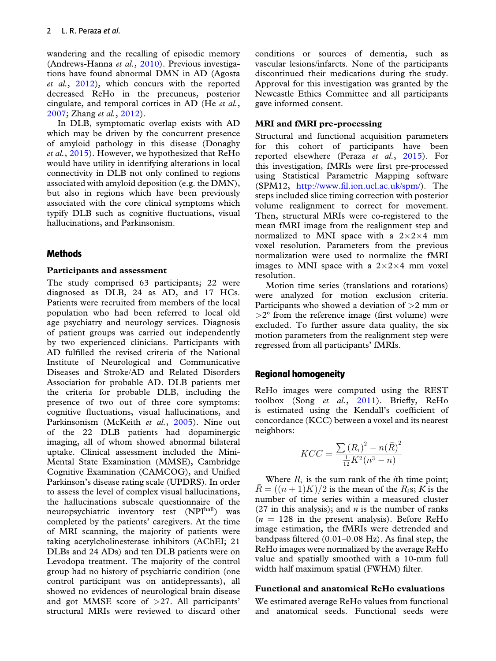wandering and the recalling of episodic memory (Andrews-Hanna *et al.*, [2010\)](#page-8-0). Previous investigations have found abnormal DMN in AD (Agosta *et al.*, [2012\)](#page-8-0), which concurs with the reported decreased ReHo in the precuneus, posterior cingulate, and temporal cortices in AD (He *et al.*, [2007;](#page-8-0) Zhang *et al.*, [2012\)](#page-9-0).

In DLB, symptomatic overlap exists with AD which may be driven by the concurrent presence of amyloid pathology in this disease (Donaghy *et al.*, [2015\)](#page-8-0). However, we hypothesized that ReHo would have utility in identifying alterations in local connectivity in DLB not only confined to regions associated with amyloid deposition (e.g. the DMN), but also in regions which have been previously associated with the core clinical symptoms which typify DLB such as cognitive fluctuations, visual hallucinations, and Parkinsonism.

## **Methods**

#### **Participants and assessment**

The study comprised 63 participants; 22 were diagnosed as DLB, 24 as AD, and 17 HCs. Patients were recruited from members of the local population who had been referred to local old age psychiatry and neurology services. Diagnosis of patient groups was carried out independently by two experienced clinicians. Participants with AD fulfilled the revised criteria of the National Institute of Neurological and Communicative Diseases and Stroke/AD and Related Disorders Association for probable AD. DLB patients met the criteria for probable DLB, including the presence of two out of three core symptoms: cognitive fluctuations, visual hallucinations, and Parkinsonism (McKeith *et al.*, [2005\)](#page-8-0). Nine out of the 22 DLB patients had dopaminergic imaging, all of whom showed abnormal bilateral uptake. Clinical assessment included the Mini-Mental State Examination (MMSE), Cambridge Cognitive Examination (CAMCOG), and Unified Parkinson's disease rating scale (UPDRS). In order to assess the level of complex visual hallucinations, the hallucinations subscale questionnaire of the neuropsychiatric inventory test (NPIhall) was completed by the patients' caregivers. At the time of MRI scanning, the majority of patients were taking acetylcholinesterase inhibitors (AChEI; 21 DLBs and 24 ADs) and ten DLB patients were on Levodopa treatment. The majority of the control group had no history of psychiatric condition (one control participant was on antidepressants), all showed no evidences of neurological brain disease and got MMSE score of >27. All participants' structural MRIs were reviewed to discard other

conditions or sources of dementia, such as vascular lesions/infarcts. None of the participants discontinued their medications during the study. Approval for this investigation was granted by the Newcastle Ethics Committee and all participants gave informed consent.

### **MRI and fMRI pre-processing**

Structural and functional acquisition parameters for this cohort of participants have been reported elsewhere (Peraza *et al.*, [2015\)](#page-8-0). For this investigation, fMRIs were first pre-processed using Statistical Parametric Mapping software (SPM12, [http://www.fil.ion.ucl.ac.uk/spm/\)](http://www.fil.ion.ucl.ac.uk/spm/). The steps included slice timing correction with posterior volume realignment to correct for movement. Then, structural MRIs were co-registered to the mean fMRI image from the realignment step and normalized to MNI space with a  $2\times2\times4$  mm voxel resolution. Parameters from the previous normalization were used to normalize the fMRI images to MNI space with a  $2 \times 2 \times 4$  mm voxel resolution.

Motion time series (translations and rotations) were analyzed for motion exclusion criteria. Participants who showed a deviation of  $>2$  mm or  $>2^{\circ}$  from the reference image (first volume) were excluded. To further assure data quality, the six motion parameters from the realignment step were regressed from all participants' fMRIs.

## **Regional homogeneity**

ReHo images were computed using the REST toolbox (Song *et al.*, [2011\)](#page-8-0). Briefly, ReHo is estimated using the Kendall's coefficient of concordance (KCC) between a voxel and its nearest neighbors:

$$
KCC = \frac{\sum (R_i)^2 - n(\bar{R})^2}{\frac{1}{12}K^2(n^3 - n)}
$$

Where  $R_i$  is the sum rank of the *i*th time point;  $R = ((n + 1)K)/2$  is the mean of the R<sub>i</sub>s; *K* is the number of time series within a measured cluster (27 in this analysis); and *n* is the number of ranks  $(n = 128$  in the present analysis). Before ReHo image estimation, the fMRIs were detrended and bandpass filtered (0.01–0.08 Hz). As final step, the ReHo images were normalized by the average ReHo value and spatially smoothed with a 10-mm full width half maximum spatial (FWHM) filter.

#### **Functional and anatomical ReHo evaluations**

We estimated average ReHo values from functional and anatomical seeds. Functional seeds were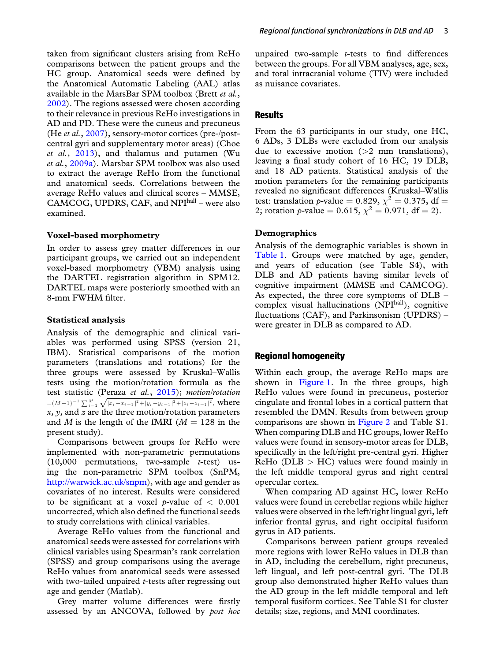taken from significant clusters arising from ReHo comparisons between the patient groups and the HC group. Anatomical seeds were defined by the Anatomical Automatic Labeling (AAL) atlas available in the MarsBar SPM toolbox (Brett *et al.*, [2002\)](#page-8-0). The regions assessed were chosen according to their relevance in previous ReHo investigations in AD and PD. These were the cuneus and precuneus (He *et al.*, [2007\)](#page-8-0), sensory-motor cortices (pre-/postcentral gyri and supplementary motor areas) (Choe *et al.*, [2013\)](#page-8-0), and thalamus and putamen (Wu *et al.*, [2009a\)](#page-8-0). Marsbar SPM toolbox was also used to extract the average ReHo from the functional and anatomical seeds. Correlations between the average ReHo values and clinical scores – MMSE, CAMCOG, UPDRS, CAF, and NPIhall – were also examined.

#### **Voxel-based morphometry**

In order to assess grey matter differences in our participant groups, we carried out an independent voxel-based morphometry (VBM) analysis using the DARTEL registration algorithm in SPM12. DARTEL maps were posteriorly smoothed with an 8-mm FWHM filter.

#### **Statistical analysis**

Analysis of the demographic and clinical variables was performed using SPSS (version 21, IBM). Statistical comparisons of the motion parameters (translations and rotations) for the three groups were assessed by Kruskal–Wallis tests using the motion/rotation formula as the test statistic (Peraza *et al.*, [2015\)](#page-8-0); *motion/rotation*  $=(M-1)^{-1}\sum_{i=2}^{M}\sqrt{|x_i-x_{i-1}|^2+|y_i-y_{i-1}|^2+|z_i-z_{i-1}|^2}$ , where *x, y,* and *z* are the three motion/rotation parameters and *M* is the length of the fMRI ( $M = 128$  in the present study).

Comparisons between groups for ReHo were implemented with non-parametric permutations (10,000 permutations, two-sample *t*-test) using the non-parametric SPM toolbox (SnPM, [http://warwick.ac.uk/snpm\)](http://warwick.ac.uk/snpm), with age and gender as covariates of no interest. Results were considered to be significant at a voxel *p*-value of  $\langle 0.001 \rangle$ uncorrected, which also defined the functional seeds to study correlations with clinical variables.

Average ReHo values from the functional and anatomical seeds were assessed for correlations with clinical variables using Spearman's rank correlation (SPSS) and group comparisons using the average ReHo values from anatomical seeds were assessed with two-tailed unpaired *t*-tests after regressing out age and gender (Matlab).

Grey matter volume differences were firstly assessed by an ANCOVA, followed by *post hoc* unpaired two-sample *t*-tests to find differences between the groups. For all VBM analyses, age, sex, and total intracranial volume (TIV) were included as nuisance covariates.

#### **Results**

From the 63 participants in our study, one HC, 6 ADs, 3 DLBs were excluded from our analysis due to excessive motion  $(>2$  mm translations), leaving a final study cohort of 16 HC, 19 DLB, and 18 AD patients. Statistical analysis of the motion parameters for the remaining participants revealed no significant differences (Kruskal–Wallis test: translation *p*-value = 0.829,  $\chi^2$  = 0.375, df = 2; rotation *p*-value = 0.615,  $\chi^2$  = 0.971, df = 2).

#### **Demographics**

Analysis of the demographic variables is shown in [Table 1.](#page-4-0) Groups were matched by age, gender, and years of education (see Table S4), with DLB and AD patients having similar levels of cognitive impairment (MMSE and CAMCOG). As expected, the three core symptoms of DLB – complex visual hallucinations (NPIhall), cognitive fluctuations (CAF), and Parkinsonism (UPDRS) – were greater in DLB as compared to AD.

## **Regional homogeneity**

Within each group, the average ReHo maps are shown in [Figure 1.](#page-4-0) In the three groups, high ReHo values were found in precuneus, posterior cingulate and frontal lobes in a cortical pattern that resembled the DMN. Results from between group comparisons are shown in [Figure 2](#page-5-0) and Table S1. When comparing DLB and HC groups, lower ReHo values were found in sensory-motor areas for DLB, specifically in the left/right pre-central gyri. Higher  $ReHo (DLB > HC)$  values were found mainly in the left middle temporal gyrus and right central opercular cortex.

When comparing AD against HC, lower ReHo values were found in cerebellar regions while higher values were observed in the left/right lingual gyri, left inferior frontal gyrus, and right occipital fusiform gyrus in AD patients.

Comparisons between patient groups revealed more regions with lower ReHo values in DLB than in AD, including the cerebellum, right precuneus, left lingual, and left post-central gyri. The DLB group also demonstrated higher ReHo values than the AD group in the left middle temporal and left temporal fusiform cortices. See Table S1 for cluster details; size, regions, and MNI coordinates.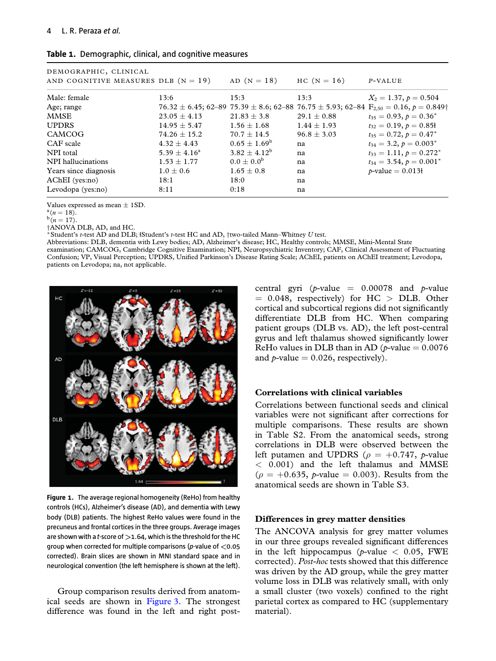| DEMOGRAPHIC, CLINICAL<br>AND COGNITIVE MEASURES DLB $(N = 19)$ |                 | $AD (N = 18)$   | $HC (N = 16)$ | P-VALUE                                                                                                                |
|----------------------------------------------------------------|-----------------|-----------------|---------------|------------------------------------------------------------------------------------------------------------------------|
|                                                                |                 |                 |               |                                                                                                                        |
| Male: female                                                   | 13:6            | 15:3            | 13:3          | $X_2 = 1.37, p = 0.504$                                                                                                |
| Age; range                                                     |                 |                 |               | $76.32 \pm 6.45$ ; 62-89 $75.39 \pm 8.6$ ; 62-88 $76.75 \pm 5.93$ ; 62-84 $F_{2.50} = 0.16$ , $p = 0.849$ <sup>+</sup> |
| <b>MMSE</b>                                                    | $23.05 + 4.13$  | $21.83 + 3.8$   | $29.1 + 0.88$ | $t_{35} = 0.93, p = 0.36^*$                                                                                            |
| <b>UPDRS</b>                                                   | $14.95 + 5.47$  | $1.56 + 1.68$   | $1.44 + 1.93$ | $t_{32} = 0.19, p = 0.851$                                                                                             |
| CAMCOG                                                         | $74.26 + 15.2$  | $70.7 + 14.5$   | $96.8 + 3.03$ | $t_{35} = 0.72, p = 0.47^*$                                                                                            |
| CAF scale                                                      | $4.32 + 4.43$   | $0.65 + 1.69^b$ | na            | $t_{34} = 3.2, p = 0.003^*$                                                                                            |
| NPI total                                                      | $5.39 + 4.16^a$ | $3.82 + 4.12^b$ | na            | $t_{33} = 1.11, p = 0.272^*$                                                                                           |
| NPI hallucinations                                             | $1.53 + 1.77$   | $0.0 + 0.0^{b}$ | na            | $t_{34} = 3.54, p = 0.001^*$                                                                                           |
| Years since diagnosis                                          | $1.0 + 0.6$     | $1.65 + 0.8$    | na            | $p$ -value = 0.013 $\text{+}$                                                                                          |
| AChEI (yes:no)                                                 | 18:1            | 18:0            | na            |                                                                                                                        |
| Levodopa (yes:no)                                              | 8:11            | 0:18            | na            |                                                                                                                        |

#### <span id="page-4-0"></span>**Table 1.** Demographic, clinical, and cognitive measures

Values expressed as mean  $\pm$  1SD.<br><sup>a</sup>(*n* = 18).<br><sup>b</sup>(*n* = 17).

†ANOVA DLB, AD, and HC.

<sup>∗</sup>Student's *<sup>t</sup>*-test AD and DLB; <sup>ⱡ</sup>Student's *<sup>t</sup>*-test HC and AD, †two-tailed Mann–Whitney *<sup>U</sup>* test.

Abbreviations: DLB, dementia with Lewy bodies; AD, Alzheimer's disease; HC, Healthy controls; MMSE, Mini-Mental State examination; CAMCOG, Cambridge Cognitive Examination; NPI, Neuropsychiatric Inventory; CAF, Clinical Assessment of Fluctuating

Confusion; VP, Visual Perception; UPDRS, Unified Parkinson's Disease Rating Scale; AChEI, patients on AChEI treatment; Levodopa, patients on Levodopa; na, not applicable.



**Figure 1.** The average regional homogeneity (ReHo) from healthy controls (HCs), Alzheimer's disease (AD), and dementia with Lewy body (DLB) patients. The highest ReHo values were found in the precuneus and frontal cortices in the three groups. Average images are shown with a *t*-score of *>*1.64, which is the threshold for the HC group when corrected for multiple comparisons (*p*-value of *<*0.05 corrected). Brain slices are shown in MNI standard space and in neurological convention (the left hemisphere is shown at the left).

Group comparison results derived from anatomical seeds are shown in [Figure 3.](#page-5-0) The strongest difference was found in the left and right postcentral gyri ( $p$ -value = 0.00078 and  $p$ -value  $= 0.048$ , respectively) for HC  $>$  DLB. Other cortical and subcortical regions did not significantly differentiate DLB from HC. When comparing patient groups (DLB vs. AD), the left post-central gyrus and left thalamus showed significantly lower ReHo values in DLB than in AD ( $p$ -value  $= 0.0076$ ) and  $p$ -value  $= 0.026$ , respectively).

#### **Correlations with clinical variables**

Correlations between functional seeds and clinical variables were not significant after corrections for multiple comparisons. These results are shown in Table S2. From the anatomical seeds, strong correlations in DLB were observed between the left putamen and UPDRS ( $\rho = +0.747$ , *p*-value < 0.001) and the left thalamus and MMSE  $(\rho = +0.635, \rho$ -value = 0.003). Results from the anatomical seeds are shown in Table S3.

#### **Differences in grey matter densities**

The ANCOVA analysis for grey matter volumes in our three groups revealed significant differences in the left hippocampus ( $p$ -value  $\lt$  0.05, FWE corrected). *Post-hoc* tests showed that this difference was driven by the AD group, while the grey matter volume loss in DLB was relatively small, with only a small cluster (two voxels) confined to the right parietal cortex as compared to HC (supplementary material).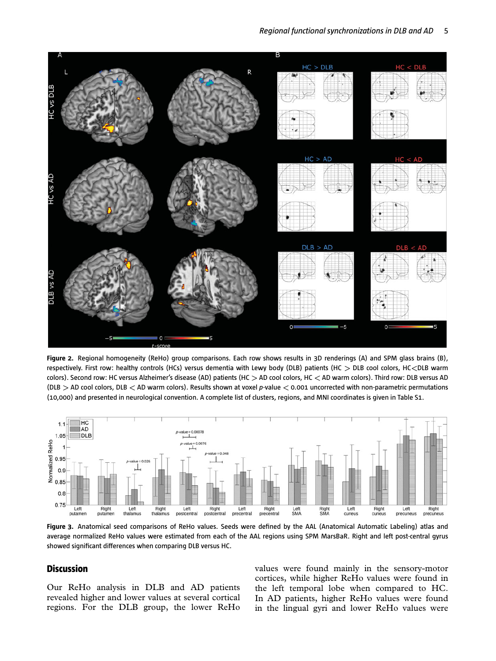<span id="page-5-0"></span>

**Figure 2.** Regional homogeneity (ReHo) group comparisons. Each row shows results in 3D renderings (A) and SPM glass brains (B), respectively. First row: healthy controls (HCs) versus dementia with Lewy body (DLB) patients (HC *>* DLB cool colors, HC*<*DLB warm colors). Second row: HC versus Alzheimer's disease (AD) patients (HC *>* AD cool colors, HC *<* AD warm colors). Third row: DLB versus AD (DLB *>* AD cool colors, DLB *<* AD warm colors). Results shown at voxel *p*-value *<* 0.001 uncorrected with non-parametric permutations (10,000) and presented in neurological convention. A complete list of clusters, regions, and MNI coordinates is given in Table S1.



**Figure 3.** Anatomical seed comparisons of ReHo values. Seeds were defined by the AAL (Anatomical Automatic Labeling) atlas and average normalized ReHo values were estimated from each of the AAL regions using SPM MarsBaR. Right and left post-central gyrus showed significant differences when comparing DLB versus HC.

## **Discussion**

Our ReHo analysis in DLB and AD patients revealed higher and lower values at several cortical regions. For the DLB group, the lower ReHo

values were found mainly in the sensory-motor cortices, while higher ReHo values were found in the left temporal lobe when compared to HC. In AD patients, higher ReHo values were found in the lingual gyri and lower ReHo values were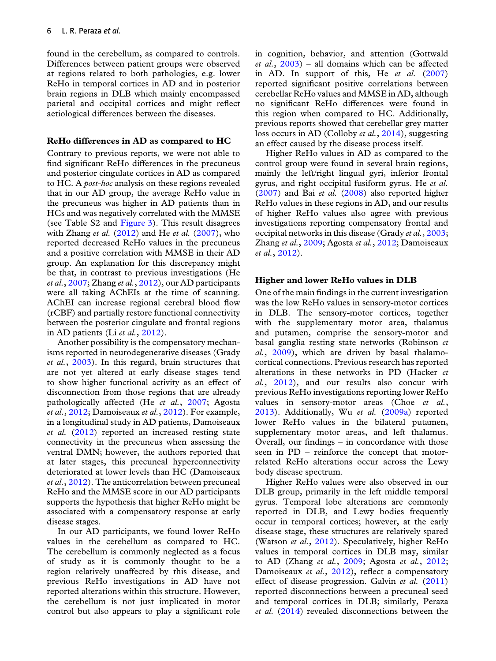found in the cerebellum, as compared to controls. Differences between patient groups were observed at regions related to both pathologies, e.g. lower ReHo in temporal cortices in AD and in posterior brain regions in DLB which mainly encompassed parietal and occipital cortices and might reflect aetiological differences between the diseases.

#### **ReHo differences in AD as compared to HC**

Contrary to previous reports, we were not able to find significant ReHo differences in the precuneus and posterior cingulate cortices in AD as compared to HC. A *post-hoc* analysis on these regions revealed that in our AD group, the average ReHo value in the precuneus was higher in AD patients than in HCs and was negatively correlated with the MMSE (see Table S2 and [Figure 3\)](#page-5-0). This result disagrees with Zhang *et al.* [\(2012\)](#page-9-0) and He *et al.* [\(2007\)](#page-8-0), who reported decreased ReHo values in the precuneus and a positive correlation with MMSE in their AD group. An explanation for this discrepancy might be that, in contrast to previous investigations (He *et al.*, [2007;](#page-8-0) Zhang *et al.*, [2012\)](#page-9-0), our AD participants were all taking AChEIs at the time of scanning. AChEI can increase regional cerebral blood flow (rCBF) and partially restore functional connectivity between the posterior cingulate and frontal regions in AD patients (Li *et al.*, [2012\)](#page-8-0).

Another possibility is the compensatory mechanisms reported in neurodegenerative diseases (Grady *et al.*, [2003\)](#page-8-0). In this regard, brain structures that are not yet altered at early disease stages tend to show higher functional activity as an effect of disconnection from those regions that are already pathologically affected (He *et al.*, [2007;](#page-8-0) Agosta *et al.*, [2012;](#page-8-0) Damoiseaux *et al.*, [2012\)](#page-8-0). For example, in a longitudinal study in AD patients, Damoiseaux *et al.* [\(2012\)](#page-8-0) reported an increased resting state connectivity in the precuneus when assessing the ventral DMN; however, the authors reported that at later stages, this precuneal hyperconnectivity deteriorated at lower levels than HC (Damoiseaux *et al.*, [2012\)](#page-8-0). The anticorrelation between precuneal ReHo and the MMSE score in our AD participants supports the hypothesis that higher ReHo might be associated with a compensatory response at early disease stages.

In our AD participants, we found lower ReHo values in the cerebellum as compared to HC. The cerebellum is commonly neglected as a focus of study as it is commonly thought to be a region relatively unaffected by this disease, and previous ReHo investigations in AD have not reported alterations within this structure. However, the cerebellum is not just implicated in motor control but also appears to play a significant role in cognition, behavior, and attention (Gottwald *et al.*, [2003\)](#page-8-0) – all domains which can be affected in AD. In support of this, He *et al.* [\(2007\)](#page-8-0) reported significant positive correlations between cerebellar ReHo values and MMSE in AD, although no significant ReHo differences were found in this region when compared to HC. Additionally, previous reports showed that cerebellar grey matter loss occurs in AD (Colloby *et al.*, [2014\)](#page-8-0), suggesting an effect caused by the disease process itself.

Higher ReHo values in AD as compared to the control group were found in several brain regions, mainly the left/right lingual gyri, inferior frontal gyrus, and right occipital fusiform gyrus. He *et al.* [\(2007\)](#page-8-0) and Bai *et al.* [\(2008\)](#page-8-0) also reported higher ReHo values in these regions in AD, and our results of higher ReHo values also agree with previous investigations reporting compensatory frontal and occipital networks in this disease (Grady *et al.*, [2003;](#page-8-0) Zhang *et al.*, [2009;](#page-9-0) Agosta *et al.*, [2012;](#page-8-0) Damoiseaux *et al.*, [2012\)](#page-8-0).

#### **Higher and lower ReHo values in DLB**

One of the main findings in the current investigation was the low ReHo values in sensory-motor cortices in DLB. The sensory-motor cortices, together with the supplementary motor area, thalamus and putamen, comprise the sensory-motor and basal ganglia resting state networks (Robinson *et al.*, [2009\)](#page-8-0), which are driven by basal thalamocortical connections. Previous research has reported alterations in these networks in PD (Hacker *et al.*, [2012\)](#page-8-0), and our results also concur with previous ReHo investigations reporting lower ReHo values in sensory-motor areas (Choe *et al.*, [2013\)](#page-8-0). Additionally, Wu *et al.* [\(2009a\)](#page-8-0) reported lower ReHo values in the bilateral putamen, supplementary motor areas, and left thalamus. Overall, our findings – in concordance with those seen in PD – reinforce the concept that motorrelated ReHo alterations occur across the Lewy body disease spectrum.

Higher ReHo values were also observed in our DLB group, primarily in the left middle temporal gyrus. Temporal lobe alterations are commonly reported in DLB, and Lewy bodies frequently occur in temporal cortices; however, at the early disease stage, these structures are relatively spared (Watson *et al.*, [2012\)](#page-8-0). Speculatively, higher ReHo values in temporal cortices in DLB may, similar to AD (Zhang *et al.*, [2009;](#page-9-0) Agosta *et al.*, [2012;](#page-8-0) Damoiseaux *et al.*, [2012\)](#page-8-0), reflect a compensatory effect of disease progression. Galvin *et al.* [\(2011\)](#page-8-0) reported disconnections between a precuneal seed and temporal cortices in DLB; similarly, Peraza *et al.* [\(2014\)](#page-8-0) revealed disconnections between the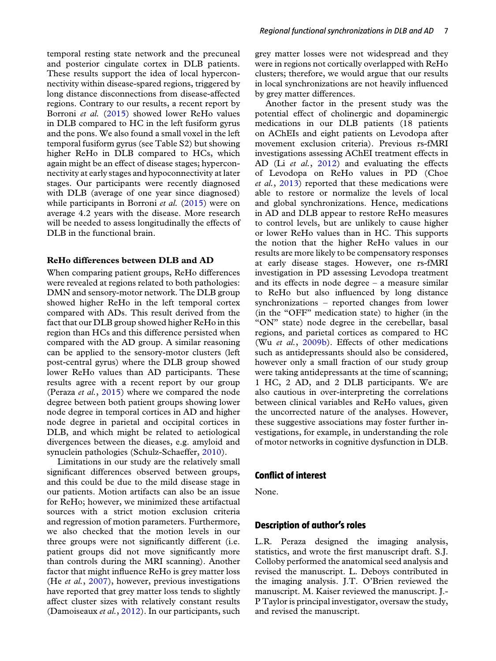temporal resting state network and the precuneal and posterior cingulate cortex in DLB patients. These results support the idea of local hyperconnectivity within disease-spared regions, triggered by long distance disconnections from disease-affected regions. Contrary to our results, a recent report by Borroni *et al.* [\(2015\)](#page-8-0) showed lower ReHo values in DLB compared to HC in the left fusiform gyrus and the pons. We also found a small voxel in the left temporal fusiform gyrus (see Table S2) but showing higher ReHo in DLB compared to HCs, which again might be an effect of disease stages; hyperconnectivity at early stages and hypoconnectivity at later stages. Our participants were recently diagnosed with DLB (average of one year since diagnosed) while participants in Borroni *et al.* [\(2015\)](#page-8-0) were on average 4.2 years with the disease. More research will be needed to assess longitudinally the effects of DLB in the functional brain.

#### **ReHo differences between DLB and AD**

When comparing patient groups, ReHo differences were revealed at regions related to both pathologies: DMN and sensory-motor network. The DLB group showed higher ReHo in the left temporal cortex compared with ADs. This result derived from the fact that our DLB group showed higher ReHo in this region than HCs and this difference persisted when compared with the AD group. A similar reasoning can be applied to the sensory-motor clusters (left post-central gyrus) where the DLB group showed lower ReHo values than AD participants. These results agree with a recent report by our group (Peraza *et al.*, [2015\)](#page-8-0) where we compared the node degree between both patient groups showing lower node degree in temporal cortices in AD and higher node degree in parietal and occipital cortices in DLB, and which might be related to aetiological divergences between the dieases, e.g. amyloid and synuclein pathologies (Schulz-Schaeffer, [2010\)](#page-8-0).

Limitations in our study are the relatively small significant differences observed between groups, and this could be due to the mild disease stage in our patients. Motion artifacts can also be an issue for ReHo; however, we minimized these artifactual sources with a strict motion exclusion criteria and regression of motion parameters. Furthermore, we also checked that the motion levels in our three groups were not significantly different (i.e. patient groups did not move significantly more than controls during the MRI scanning). Another factor that might influence ReHo is grey matter loss (He *et al.*, [2007\)](#page-8-0), however, previous investigations have reported that grey matter loss tends to slightly affect cluster sizes with relatively constant results (Damoiseaux *et al.*, [2012\)](#page-8-0). In our participants, such

grey matter losses were not widespread and they were in regions not cortically overlapped with ReHo clusters; therefore, we would argue that our results in local synchronizations are not heavily influenced by grey matter differences.

Another factor in the present study was the potential effect of cholinergic and dopaminergic medications in our DLB patients (18 patients on AChEIs and eight patients on Levodopa after movement exclusion criteria). Previous rs-fMRI investigations assessing AChEI treatment effects in AD (Li *et al.*, [2012\)](#page-8-0) and evaluating the effects of Levodopa on ReHo values in PD (Choe *et al.*, [2013\)](#page-8-0) reported that these medications were able to restore or normalize the levels of local and global synchronizations. Hence, medications in AD and DLB appear to restore ReHo measures to control levels, but are unlikely to cause higher or lower ReHo values than in HC. This supports the notion that the higher ReHo values in our results are more likely to be compensatory responses at early disease stages. However, one rs-fMRI investigation in PD assessing Levodopa treatment and its effects in node degree – a measure similar to ReHo but also influenced by long distance synchronizations – reported changes from lower (in the "OFF" medication state) to higher (in the "ON" state) node degree in the cerebellar, basal regions, and parietal cortices as compared to HC (Wu *et al.*, [2009b\)](#page-8-0). Effects of other medications such as antidepressants should also be considered, however only a small fraction of our study group were taking antidepressants at the time of scanning; 1 HC, 2 AD, and 2 DLB participants. We are also cautious in over-interpreting the correlations between clinical variables and ReHo values, given the uncorrected nature of the analyses. However, these suggestive associations may foster further investigations, for example, in understanding the role of motor networks in cognitive dysfunction in DLB.

#### **Conflict of interest**

None.

## **Description of author's roles**

L.R. Peraza designed the imaging analysis, statistics, and wrote the first manuscript draft. S.J. Colloby performed the anatomical seed analysis and revised the manuscript. L. Deboys contributed in the imaging analysis. J.T. O'Brien reviewed the manuscript. M. Kaiser reviewed the manuscript. J.- P Taylor is principal investigator, oversaw the study, and revised the manuscript.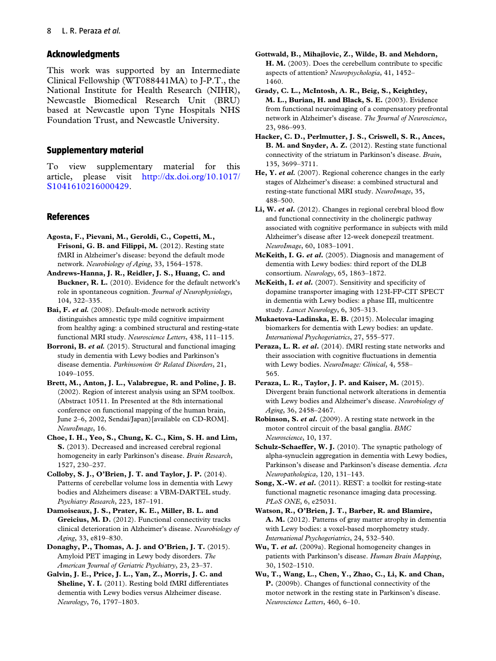## <span id="page-8-0"></span>**Acknowledgments**

This work was supported by an Intermediate Clinical Fellowship (WT088441MA) to J-P.T., the National Institute for Health Research (NIHR), Newcastle Biomedical Research Unit (BRU) based at Newcastle upon Tyne Hospitals NHS Foundation Trust, and Newcastle University.

## **Supplementary material**

To view supplementary material for this article, please visit [http://dx.doi.org/10.1017/](http://dx.doi.org/10.1017/S1041610216000429) [S1041610216000429.](http://dx.doi.org/10.1017/S1041610216000429)

## **References**

- **Agosta, F., Pievani, M., Geroldi, C., Copetti, M., Frisoni, G. B. and Filippi, M.** (2012). Resting state fMRI in Alzheimer's disease: beyond the default mode network. *Neurobiology of Aging*, 33, 1564–1578.
- **Andrews-Hanna, J. R., Reidler, J. S., Huang, C. and Buckner, R. L.** (2010). Evidence for the default network's role in spontaneous cognition. *Journal of Neurophysiology*, 104, 322–335.
- **Bai, F.** *et al.* (2008). Default-mode network activity distinguishes amnestic type mild cognitive impairment from healthy aging: a combined structural and resting-state functional MRI study. *Neuroscience Letters*, 438, 111–115.
- **Borroni, B.** *et al.* (2015). Structural and functional imaging study in dementia with Lewy bodies and Parkinson's disease dementia. *Parkinsonism & Related Disorders*, 21, 1049–1055.
- **Brett, M., Anton, J. L., Valabregue, R. and Poline, J. B.** (2002). Region of interest analysis using an SPM toolbox. (Abstract 10511. In Presented at the 8th international conference on functional mapping of the human brain, June 2–6, 2002, Sendai/Japan)[available on CD-ROM]. *NeuroImage*, 16.
- **Choe, I. H., Yeo, S., Chung, K. C., Kim, S. H. and Lim, S.** (2013). Decreased and increased cerebral regional homogeneity in early Parkinson's disease. *Brain Research*, 1527, 230–237.
- **Colloby, S. J., O'Brien, J. T. and Taylor, J. P.** (2014). Patterns of cerebellar volume loss in dementia with Lewy bodies and Alzheimers disease: a VBM-DARTEL study. *Psychiatry Research*, 223, 187–191.
- **Damoiseaux, J. S., Prater, K. E., Miller, B. L. and Greicius, M. D.** (2012). Functional connectivity tracks clinical deterioration in Alzheimer's disease. *Neurobiology of Aging*, 33, e819–830.
- **Donaghy, P., Thomas, A. J. and O'Brien, J. T.** (2015). Amyloid PET imaging in Lewy body disorders. *The American Journal of Geriatric Psychiatry*, 23, 23–37.
- **Galvin, J. E., Price, J. L., Yan, Z., Morris, J. C. and Sheline, Y. I.** (2011). Resting bold fMRI differentiates dementia with Lewy bodies versus Alzheimer disease. *Neurology*, 76, 1797–1803.
- **Gottwald, B., Mihajlovic, Z., Wilde, B. and Mehdorn, H. M.** (2003). Does the cerebellum contribute to specific aspects of attention? *Neuropsychologia*, 41, 1452– 1460.
- **Grady, C. L., McIntosh, A. R., Beig, S., Keightley, M. L., Burian, H. and Black, S. E.** (2003). Evidence from functional neuroimaging of a compensatory prefrontal network in Alzheimer's disease. *The Journal of Neuroscience*, 23, 986–993.
- **Hacker, C. D., Perlmutter, J. S., Criswell, S. R., Ances, B. M. and Snyder, A. Z.** (2012). Resting state functional connectivity of the striatum in Parkinson's disease. *Brain*, 135, 3699–3711.
- **He, Y.** *et al.* (2007). Regional coherence changes in the early stages of Alzheimer's disease: a combined structural and resting-state functional MRI study. *NeuroImage*, 35, 488–500.
- Li, W. *et al.* (2012). Changes in regional cerebral blood flow and functional connectivity in the cholinergic pathway associated with cognitive performance in subjects with mild Alzheimer's disease after 12-week donepezil treatment. *NeuroImage*, 60, 1083–1091.
- **McKeith, I. G.** *et al***.** (2005). Diagnosis and management of dementia with Lewy bodies: third report of the DLB consortium. *Neurology*, 65, 1863–1872.
- **McKeith, I.** *et al***.** (2007). Sensitivity and specificity of dopamine transporter imaging with 123I-FP-CIT SPECT in dementia with Lewy bodies: a phase III, multicentre study. *Lancet Neurology*, 6, 305–313.
- **Mukaetova-Ladinska, E. B.** (2015). Molecular imaging biomarkers for dementia with Lewy bodies: an update. *International Psychogeriatrics*, 27, 555–577.
- **Peraza, L. R.** *et al***.** (2014). fMRI resting state networks and their association with cognitive fluctuations in dementia with Lewy bodies. *NeuroImage: Clinical*, 4, 558– 565.
- **Peraza, L. R., Taylor, J. P. and Kaiser, M.** (2015). Divergent brain functional network alterations in dementia with Lewy bodies and Alzheimer's disease. *Neurobiology of Aging*, 36, 2458–2467.
- **Robinson, S.** *et al***.** (2009). A resting state network in the motor control circuit of the basal ganglia. *BMC Neuroscience*, 10, 137.
- **Schulz-Schaeffer, W. J.** (2010). The synaptic pathology of alpha-synuclein aggregation in dementia with Lewy bodies, Parkinson's disease and Parkinson's disease dementia. *Acta Neuropathologica*, 120, 131–143.
- **Song, X.-W.** *et al***.** (2011). REST: a toolkit for resting-state functional magnetic resonance imaging data processing. *PLoS ONE*, 6, e25031.
- **Watson, R., O'Brien, J. T., Barber, R. and Blamire, A. M.** (2012). Patterns of gray matter atrophy in dementia with Lewy bodies: a voxel-based morphometry study. *International Psychogeriatrics*, 24, 532–540.
- **Wu, T.** *et al***.** (2009a). Regional homogeneity changes in patients with Parkinson's disease. *Human Brain Mapping*, 30, 1502–1510.
- **Wu, T., Wang, L., Chen, Y., Zhao, C., Li, K. and Chan, P.** (2009b). Changes of functional connectivity of the motor network in the resting state in Parkinson's disease. *Neuroscience Letters*, 460, 6–10.